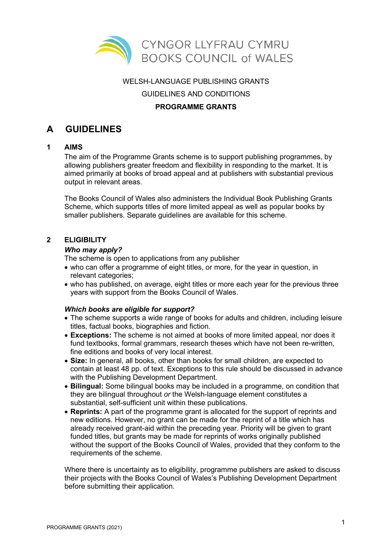

### WELSH-LANGUAGE PUBLISHING GRANTS

GUIDELINES AND CONDITIONS

# **PROGRAMME GRANTS**

# **A GUIDELINES**

## **1 AIMS**

The aim of the Programme Grants scheme is to support publishing programmes, by allowing publishers greater freedom and flexibility in responding to the market. It is aimed primarily at books of broad appeal and at publishers with substantial previous output in relevant areas.

The Books Council of Wales also administers the Individual Book Publishing Grants Scheme, which supports titles of more limited appeal as well as popular books by smaller publishers. Separate guidelines are available for this scheme.

### **2 ELIGIBILITY**

#### *Who may apply?*

The scheme is open to applications from any publisher

- who can offer a programme of eight titles, or more, for the year in question, in relevant categories;
- who has published, on average, eight titles or more each year for the previous three years with support from the Books Council of Wales.

## *Which books are eligible for support?*

- The scheme supports a wide range of books for adults and children, including leisure titles, factual books, biographies and fiction.
- **Exceptions:** The scheme is not aimed at books of more limited appeal, nor does it fund textbooks, formal grammars, research theses which have not been re-written, fine editions and books of very local interest.
- **Size:** In general, all books, other than books for small children, are expected to contain at least 48 pp. of text. Exceptions to this rule should be discussed in advance with the Publishing Development Department.
- **Bilingual:** Some bilingual books may be included in a programme, on condition that they are bilingual throughout *or* the Welsh-language element constitutes a substantial, self-sufficient unit within these publications.
- **Reprints:** A part of the programme grant is allocated for the support of reprints and new editions. However, no grant can be made for the reprint of a title which has already received grant-aid within the preceding year. Priority will be given to grant funded titles, but grants may be made for reprints of works originally published without the support of the Books Council of Wales, provided that they conform to the requirements of the scheme.

Where there is uncertainty as to eligibility, programme publishers are asked to discuss their projects with the Books Council of Wales's Publishing Development Department before submitting their application.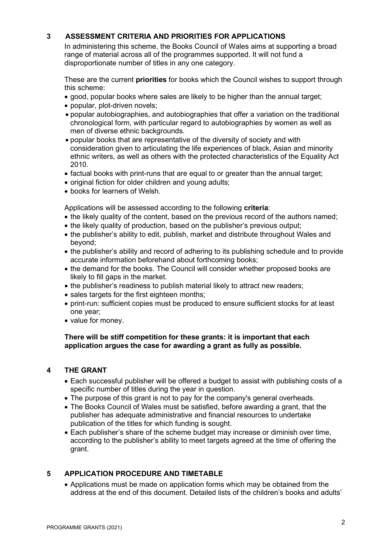# **3 ASSESSMENT CRITERIA AND PRIORITIES FOR APPLICATIONS**

In administering this scheme, the Books Council of Wales aims at supporting a broad range of material across all of the programmes supported. It will not fund a disproportionate number of titles in any one category.

These are the current **priorities** for books which the Council wishes to support through this scheme:

- good, popular books where sales are likely to be higher than the annual target;
- popular, plot-driven novels;
- popular autobiographies, and autobiographies that offer a variation on the traditional chronological form, with particular regard to autobiographies by women as well as men of diverse ethnic backgrounds.
- popular books that are representative of the diversity of society and with consideration given to articulating the life experiences of black, Asian and minority ethnic writers, as well as others with the protected characteristics of the Equality Act 2010.
- factual books with print-runs that are equal to or greater than the annual target;
- original fiction for older children and young adults;
- books for learners of Welsh.

Applications will be assessed according to the following **criteria**:

- the likely quality of the content, based on the previous record of the authors named;
- the likely quality of production, based on the publisher's previous output;
- the publisher's ability to edit, publish, market and distribute throughout Wales and beyond;
- the publisher's ability and record of adhering to its publishing schedule and to provide accurate information beforehand about forthcoming books;
- the demand for the books. The Council will consider whether proposed books are likely to fill gaps in the market.
- the publisher's readiness to publish material likely to attract new readers:
- sales targets for the first eighteen months;
- print-run: sufficient copies must be produced to ensure sufficient stocks for at least one year;
- value for money.

# **There will be stiff competition for these grants: it is important that each application argues the case for awarding a grant as fully as possible.**

## **4 THE GRANT**

- Each successful publisher will be offered a budget to assist with publishing costs of a specific number of titles during the year in question.
- The purpose of this grant is not to pay for the company's general overheads.
- The Books Council of Wales must be satisfied, before awarding a grant, that the publisher has adequate administrative and financial resources to undertake publication of the titles for which funding is sought.
- Each publisher's share of the scheme budget may increase or diminish over time, according to the publisher's ability to meet targets agreed at the time of offering the grant.

# **5 APPLICATION PROCEDURE AND TIMETABLE**

• Applications must be made on application forms which may be obtained from the address at the end of this document. Detailed lists of the children's books and adults'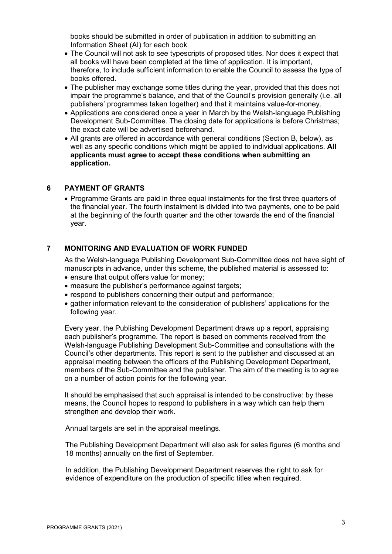books should be submitted in order of publication in addition to submitting an Information Sheet (AI) for each book

- The Council will not ask to see typescripts of proposed titles. Nor does it expect that all books will have been completed at the time of application. It is important, therefore, to include sufficient information to enable the Council to assess the type of books offered.
- The publisher may exchange some titles during the year, provided that this does not impair the programme's balance, and that of the Council's provision generally (i.e. all publishers' programmes taken together) and that it maintains value-for-money.
- Applications are considered once a year in March by the Welsh-language Publishing Development Sub-Committee. The closing date for applications is before Christmas; the exact date will be advertised beforehand.
- All grants are offered in accordance with general conditions (Section B, below), as well as any specific conditions which might be applied to individual applications. **All applicants must agree to accept these conditions when submitting an application.**

# **6 PAYMENT OF GRANTS**

• Programme Grants are paid in three equal instalments for the first three quarters of the financial year. The fourth instalment is divided into two payments, one to be paid at the beginning of the fourth quarter and the other towards the end of the financial year.

# **7 MONITORING AND EVALUATION OF WORK FUNDED**

As the Welsh-language Publishing Development Sub-Committee does not have sight of manuscripts in advance, under this scheme, the published material is assessed to:

- ensure that output offers value for money;
- measure the publisher's performance against targets:
- respond to publishers concerning their output and performance;
- gather information relevant to the consideration of publishers' applications for the following year.

Every year, the Publishing Development Department draws up a report, appraising each publisher's programme. The report is based on comments received from the Welsh-language Publishing Development Sub-Committee and consultations with the Council's other departments. This report is sent to the publisher and discussed at an appraisal meeting between the officers of the Publishing Development Department, members of the Sub-Committee and the publisher. The aim of the meeting is to agree on a number of action points for the following year.

It should be emphasised that such appraisal is intended to be constructive: by these means, the Council hopes to respond to publishers in a way which can help them strengthen and develop their work.

Annual targets are set in the appraisal meetings.

The Publishing Development Department will also ask for sales figures (6 months and 18 months) annually on the first of September.

In addition, the Publishing Development Department reserves the right to ask for evidence of expenditure on the production of specific titles when required.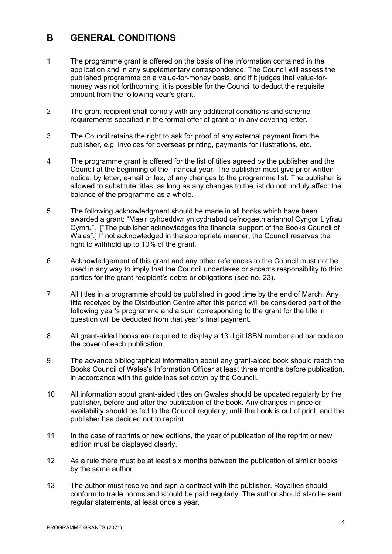# **B GENERAL CONDITIONS**

- 1 The programme grant is offered on the basis of the information contained in the application and in any supplementary correspondence. The Council will assess the published programme on a value-for-money basis, and if it judges that value-formoney was not forthcoming, it is possible for the Council to deduct the requisite amount from the following year's grant.
- 2 The grant recipient shall comply with any additional conditions and scheme requirements specified in the formal offer of grant or in any covering letter.
- 3 The Council retains the right to ask for proof of any external payment from the publisher, e.g. invoices for overseas printing, payments for illustrations, etc.
- 4 The programme grant is offered for the list of titles agreed by the publisher and the Council at the beginning of the financial year. The publisher must give prior written notice, by letter, e-mail or fax, of any changes to the programme list. The publisher is allowed to substitute titles, as long as any changes to the list do not unduly affect the balance of the programme as a whole.
- 5 The following acknowledgment should be made in all books which have been awarded a grant: "Mae'r cyhoeddwr yn cydnabod cefnogaeth ariannol Cyngor Llyfrau Cymru". ["The publisher acknowledges the financial support of the Books Council of Wales".] If not acknowledged in the appropriate manner, the Council reserves the right to withhold up to 10% of the grant.
- 6 Acknowledgement of this grant and any other references to the Council must not be used in any way to imply that the Council undertakes or accepts responsibility to third parties for the grant recipient's debts or obligations (see no. 23).
- 7 All titles in a programme should be published in good time by the end of March. Any title received by the Distribution Centre after this period will be considered part of the following year's programme and a sum corresponding to the grant for the title in question will be deducted from that year's final payment.
- 8 All grant-aided books are required to display a 13 digit ISBN number and bar code on the cover of each publication.
- 9 The advance bibliographical information about any grant-aided book should reach the Books Council of Wales's Information Officer at least three months before publication, in accordance with the guidelines set down by the Council.
- 10 All information about grant-aided titles on Gwales should be updated regularly by the publisher, before and after the publication of the book. Any changes in price or availability should be fed to the Council regularly, until the book is out of print, and the publisher has decided not to reprint.
- 11 In the case of reprints or new editions, the year of publication of the reprint or new edition must be displayed clearly.
- 12 As a rule there must be at least six months between the publication of similar books by the same author.
- 13 The author must receive and sign a contract with the publisher. Royalties should conform to trade norms and should be paid regularly. The author should also be sent regular statements, at least once a year.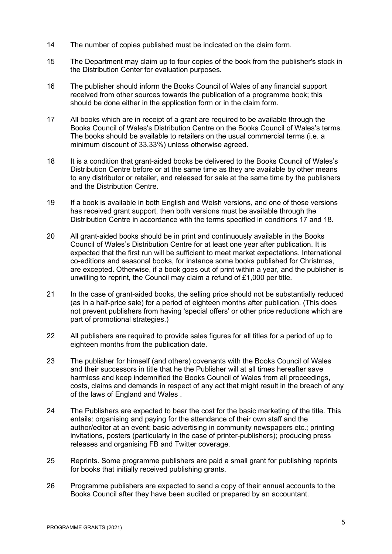- 14 The number of copies published must be indicated on the claim form.
- 15 The Department may claim up to four copies of the book from the publisher's stock in the Distribution Center for evaluation purposes.
- 16 The publisher should inform the Books Council of Wales of any financial support received from other sources towards the publication of a programme book; this should be done either in the application form or in the claim form.
- 17 All books which are in receipt of a grant are required to be available through the Books Council of Wales's Distribution Centre on the Books Council of Wales's terms. The books should be available to retailers on the usual commercial terms (i.e. a minimum discount of 33.33%) unless otherwise agreed.
- 18 It is a condition that grant-aided books be delivered to the Books Council of Wales's Distribution Centre before or at the same time as they are available by other means to any distributor or retailer, and released for sale at the same time by the publishers and the Distribution Centre.
- 19 If a book is available in both English and Welsh versions, and one of those versions has received grant support, then both versions must be available through the Distribution Centre in accordance with the terms specified in conditions 17 and 18.
- 20 All grant-aided books should be in print and continuously available in the Books Council of Wales's Distribution Centre for at least one year after publication. It is expected that the first run will be sufficient to meet market expectations. International co-editions and seasonal books, for instance some books published for Christmas, are excepted. Otherwise, if a book goes out of print within a year, and the publisher is unwilling to reprint, the Council may claim a refund of £1,000 per title.
- 21 In the case of grant-aided books, the selling price should not be substantially reduced (as in a half-price sale) for a period of eighteen months after publication. (This does not prevent publishers from having 'special offers' or other price reductions which are part of promotional strategies.)
- 22 All publishers are required to provide sales figures for all titles for a period of up to eighteen months from the publication date.
- 23 The publisher for himself (and others) covenants with the Books Council of Wales and their successors in title that he the Publisher will at all times hereafter save harmless and keep indemnified the Books Council of Wales from all proceedings, costs, claims and demands in respect of any act that might result in the breach of any of the laws of England and Wales .
- 24 The Publishers are expected to bear the cost for the basic marketing of the title. This entails: organising and paying for the attendance of their own staff and the author/editor at an event; basic advertising in community newspapers etc.; printing invitations, posters (particularly in the case of printer-publishers); producing press releases and organising FB and Twitter coverage.
- 25 Reprints. Some programme publishers are paid a small grant for publishing reprints for books that initially received publishing grants.
- 26 Programme publishers are expected to send a copy of their annual accounts to the Books Council after they have been audited or prepared by an accountant.